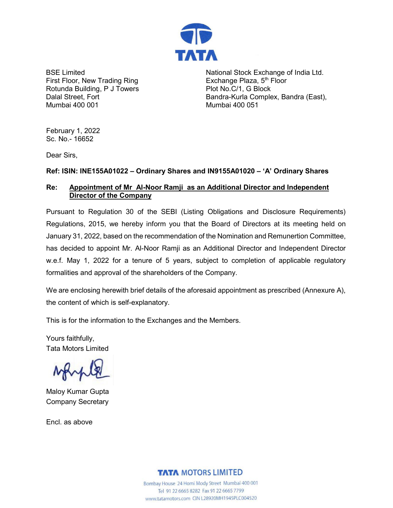

BSE Limited First Floor, New Trading Ring Rotunda Building, P J Towers Dalal Street, Fort Mumbai 400 001

National Stock Exchange of India Ltd. Exchange Plaza, 5<sup>th</sup> Floor Plot No.C/1, G Block Bandra-Kurla Complex, Bandra (East), Mumbai 400 051

February 1, 2022 Sc. No.- 16652

Dear Sirs,

# **Ref: ISIN: INE155A01022 – Ordinary Shares and IN9155A01020 – 'A' Ordinary Shares**

### **Re: Appointment of Mr Al-Noor Ramji as an Additional Director and Independent Director of the Company**

Pursuant to Regulation 30 of the SEBI (Listing Obligations and Disclosure Requirements) Regulations, 2015, we hereby inform you that the Board of Directors at its meeting held on January 31, 2022, based on the recommendation of the Nomination and Remunertion Committee, has decided to appoint Mr. Al-Noor Ramji as an Additional Director and Independent Director w.e.f. May 1, 2022 for a tenure of 5 years, subject to completion of applicable regulatory formalities and approval of the shareholders of the Company.

We are enclosing herewith brief details of the aforesaid appointment as prescribed (Annexure A), the content of which is self-explanatory.

This is for the information to the Exchanges and the Members.

Yours faithfully, Tata Motors Limited

Maloy Kumar Gupta Company Secretary

Encl. as above

**TATA MOTORS LIMITED** 

Bombay House 24 Homi Mody Street Mumbai 400 001 Tel 91 22 6665 8282 Fax 91 22 6665 7799 www.tatamotors.com CIN L28920MH1945PLC004520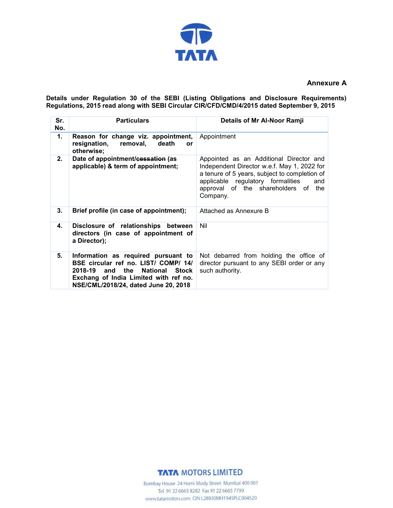

#### **Annexure A**

**Details under Regulation 30 of the SEBI (Listing Obligations and Disclosure Requirements) Regulations, 2015 read along with SEBI Circular CIR/CFD/CMD/4/2015 dated September 9, 2015**

| Sr.<br>No. | <b>Particulars</b>                                                                                                                                                                             | Details of Mr Al-Noor Ramji                                                                                                                                                                                                               |
|------------|------------------------------------------------------------------------------------------------------------------------------------------------------------------------------------------------|-------------------------------------------------------------------------------------------------------------------------------------------------------------------------------------------------------------------------------------------|
| 1.         | Reason for change viz. appointment,<br>resignation,<br>removal,<br>death<br>or<br>otherwise;                                                                                                   | Appointment                                                                                                                                                                                                                               |
| 2.         | Date of appointment/cessation (as<br>applicable) & term of appointment;                                                                                                                        | Appointed as an Additional Director and<br>Independent Director w.e.f. May 1, 2022 for<br>a tenure of 5 years, subject to completion of<br>applicable regulatory formalities<br>and<br>approval of the shareholders of<br>the<br>Company. |
| 3.         | Brief profile (in case of appointment);                                                                                                                                                        | Attached as Annexure B                                                                                                                                                                                                                    |
| 4.         | Disclosure of relationships between<br>directors (in case of appointment of<br>a Director);                                                                                                    | Nil                                                                                                                                                                                                                                       |
| 5.         | Information as required pursuant to<br>BSE circular ref no. LIST/ COMP/ 14/<br>2018-19 and the National Stock<br>Exchang of India Limited with ref no.<br>NSE/CML/2018/24, dated June 20, 2018 | Not debarred from holding the office of<br>director pursuant to any SEBI order or any<br>such authority.                                                                                                                                  |

# **TATA MOTORS LIMITED**

Bombay House 24 Homi Mody Street Mumbai 400 001 Tel 91 22 6665 8282 Fax 91 22 6665 7799 www.tatamotors.com CIN L28920MH1945PLC004520